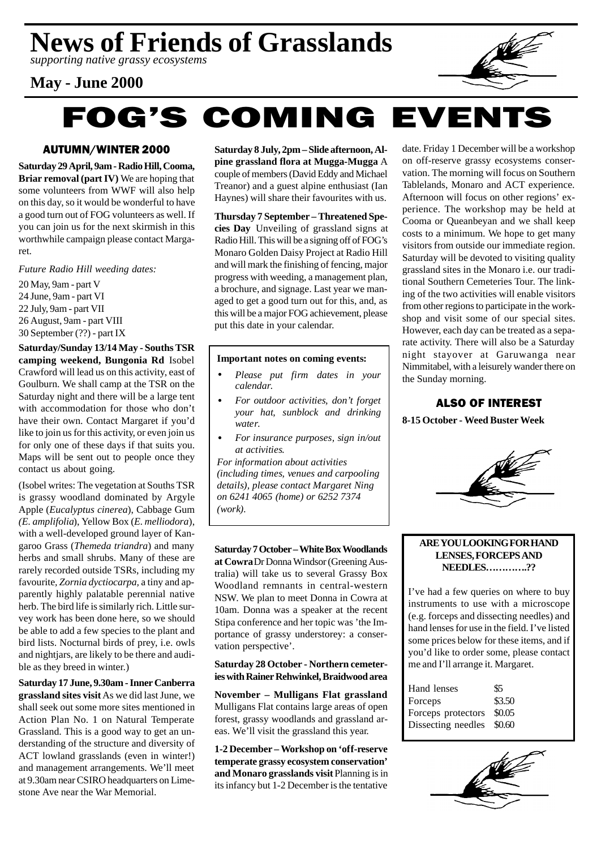*supporting native grassy ecosystems*

## **May - June 2000**



# **FOG'S COMING EVENTS**

#### AUTUMN/WINTER 2000

**Saturday 29 April, 9am - Radio Hill, Cooma, Briar removal (part IV)** We are hoping that some volunteers from WWF will also help on this day, so it would be wonderful to have a good turn out of FOG volunteers as well. If you can join us for the next skirmish in this worthwhile campaign please contact Margaret.

*Future Radio Hill weeding dates:*

20 May, 9am - part V 24 June, 9am - part VI 22 July, 9am - part VII 26 August, 9am - part VIII 30 September (??) - part IX

**Saturday/Sunday 13/14 May - Souths TSR camping weekend, Bungonia Rd** Isobel Crawford will lead us on this activity, east of Goulburn. We shall camp at the TSR on the Saturday night and there will be a large tent with accommodation for those who don't have their own. Contact Margaret if you'd like to join us for this activity, or even join us for only one of these days if that suits you. Maps will be sent out to people once they contact us about going.

(Isobel writes: The vegetation at Souths TSR is grassy woodland dominated by Argyle Apple (*Eucalyptus cinerea*), Cabbage Gum *(E. amplifolia*), Yellow Box (*E. melliodora*), with a well-developed ground layer of Kangaroo Grass (*Themeda triandra*) and many herbs and small shrubs. Many of these are rarely recorded outside TSRs, including my favourite*, Zornia dyctiocarpa,* a tiny and apparently highly palatable perennial native herb. The bird life is similarly rich. Little survey work has been done here, so we should be able to add a few species to the plant and bird lists. Nocturnal birds of prey, i.e. owls and nightjars, are likely to be there and audible as they breed in winter.)

**Saturday 17 June, 9.30am - Inner Canberra grassland sites visit** As we did last June, we shall seek out some more sites mentioned in Action Plan No. 1 on Natural Temperate Grassland. This is a good way to get an understanding of the structure and diversity of ACT lowland grasslands (even in winter!) and management arrangements. We'll meet at 9.30am near CSIRO headquarters on Limestone Ave near the War Memorial.

**Saturday 8 July, 2pm – Slide afternoon, Alpine grassland flora at Mugga-Mugga** A couple of members (David Eddy and Michael Treanor) and a guest alpine enthusiast (Ian Haynes) will share their favourites with us.

**Thursday 7 September – Threatened Species Day** Unveiling of grassland signs at Radio Hill. This will be a signing off of FOG's Monaro Golden Daisy Project at Radio Hill and will mark the finishing of fencing, major progress with weeding, a management plan, a brochure, and signage. Last year we managed to get a good turn out for this, and, as this will be a major FOG achievement, please put this date in your calendar.

#### **Important notes on coming events:**

- *Please put firm dates in your calendar.*
- *For outdoor activities, don't forget your hat, sunblock and drinking water.*
- *For insurance purposes, sign in/out at activities.*

*For information about activities (including times, venues and carpooling details), please contact Margaret Ning on 6241 4065 (home) or 6252 7374 (work).*

**Saturday 7 October – White Box Woodlands at Cowra** Dr Donna Windsor (Greening Australia) will take us to several Grassy Box Woodland remnants in central-western NSW. We plan to meet Donna in Cowra at 10am. Donna was a speaker at the recent Stipa conference and her topic was 'the Importance of grassy understorey: a conservation perspective'.

#### **Saturday 28 October - Northern cemeteries with Rainer Rehwinkel, Braidwood area**

**November – Mulligans Flat grassland** Mulligans Flat contains large areas of open forest, grassy woodlands and grassland areas. We'll visit the grassland this year.

**1-2 December – Workshop on 'off-reserve temperate grassy ecosystem conservation' and Monaro grasslands visit** Planning is in its infancy but 1-2 December is the tentative

date. Friday 1 December will be a workshop on off-reserve grassy ecosystems conservation. The morning will focus on Southern Tablelands, Monaro and ACT experience. Afternoon will focus on other regions' experience. The workshop may be held at Cooma or Queanbeyan and we shall keep costs to a minimum. We hope to get many visitors from outside our immediate region. Saturday will be devoted to visiting quality grassland sites in the Monaro i.e. our traditional Southern Cemeteries Tour. The linking of the two activities will enable visitors from other regions to participate in the workshop and visit some of our special sites. However, each day can be treated as a separate activity. There will also be a Saturday night stayover at Garuwanga near Nimmitabel, with a leisurely wander there on the Sunday morning.

#### ALSO OF INTEREST

**8-15 October - Weed Buster Week**



#### **ARE YOU LOOKING FOR HAND LENSES, FORCEPS AND NEEDLES………….??**

I've had a few queries on where to buy instruments to use with a microscope (e.g. forceps and dissecting needles) and hand lenses for use in the field. I've listed some prices below for these items, and if you'd like to order some, please contact me and I'll arrange it. Margaret.

| \$5    |
|--------|
| \$3.50 |
| \$0.05 |
| \$0.60 |
|        |

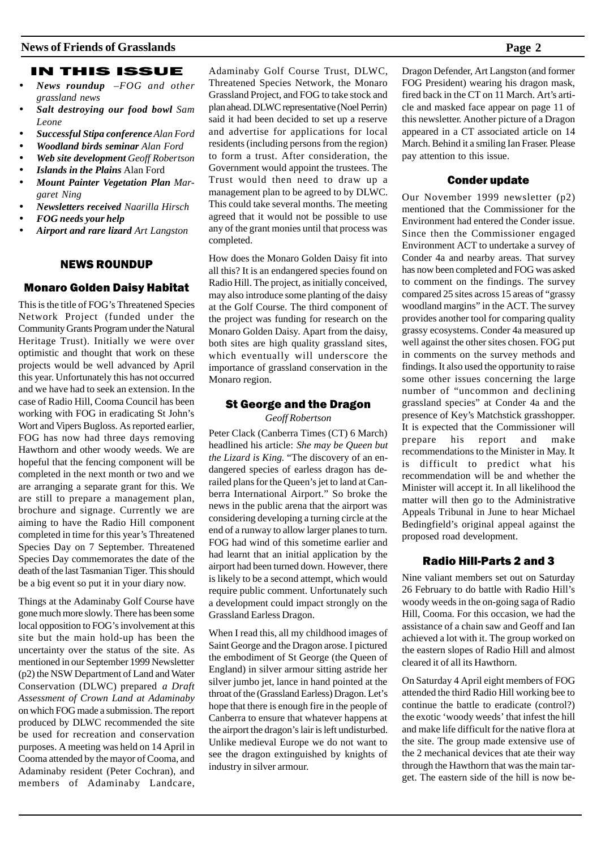#### IN THIS ISSUE

- *News roundup –FOG and other grassland news*
- *Salt destroying our food bowl Sam Leone*
- *Successful Stipa conference Alan Ford*
- *Woodland birds seminar Alan Ford*
- *Web site development Geoff Robertson*
- *Islands in the Plains* Alan Ford
- *Mount Painter Vegetation Plan Margaret Ning*
- *Newsletters received Naarilla Hirsch*
- *FOG needs your help*
- *Airport and rare lizard Art Langston*

#### NEWS ROUNDUP

#### Monaro Golden Daisy Habitat

This is the title of FOG's Threatened Species Network Project (funded under the Community Grants Program under the Natural Heritage Trust). Initially we were over optimistic and thought that work on these projects would be well advanced by April this year. Unfortunately this has not occurred and we have had to seek an extension. In the case of Radio Hill, Cooma Council has been working with FOG in eradicating St John's Wort and Vipers Bugloss. As reported earlier, FOG has now had three days removing Hawthorn and other woody weeds. We are hopeful that the fencing component will be completed in the next month or two and we are arranging a separate grant for this. We are still to prepare a management plan, brochure and signage. Currently we are aiming to have the Radio Hill component completed in time for this year's Threatened Species Day on 7 September. Threatened Species Day commemorates the date of the death of the last Tasmanian Tiger. This should be a big event so put it in your diary now.

Things at the Adaminaby Golf Course have gone much more slowly. There has been some local opposition to FOG's involvement at this site but the main hold-up has been the uncertainty over the status of the site. As mentioned in our September 1999 Newsletter (p2) the NSW Department of Land and Water Conservation (DLWC) prepared *a Draft Assessment of Crown Land at Adaminaby* on which FOG made a submission. The report produced by DLWC recommended the site be used for recreation and conservation purposes. A meeting was held on 14 April in Cooma attended by the mayor of Cooma, and Adaminaby resident (Peter Cochran), and members of Adaminaby Landcare, Adaminaby Golf Course Trust, DLWC, Threatened Species Network, the Monaro Grassland Project, and FOG to take stock and plan ahead. DLWC representative (Noel Perrin) said it had been decided to set up a reserve and advertise for applications for local residents (including persons from the region) to form a trust. After consideration, the Government would appoint the trustees. The Trust would then need to draw up a management plan to be agreed to by DLWC. This could take several months. The meeting agreed that it would not be possible to use any of the grant monies until that process was completed.

How does the Monaro Golden Daisy fit into all this? It is an endangered species found on Radio Hill. The project, as initially conceived, may also introduce some planting of the daisy at the Golf Course. The third component of the project was funding for research on the Monaro Golden Daisy. Apart from the daisy, both sites are high quality grassland sites, which eventually will underscore the importance of grassland conservation in the Monaro region.

#### St George and the Dragon

*Geoff Robertson*

Peter Clack (Canberra Times (CT) 6 March) headlined his article: *She may be Queen but the Lizard is King.* "The discovery of an endangered species of earless dragon has derailed plans for the Queen's jet to land at Canberra International Airport." So broke the news in the public arena that the airport was considering developing a turning circle at the end of a runway to allow larger planes to turn. FOG had wind of this sometime earlier and had learnt that an initial application by the airport had been turned down. However, there is likely to be a second attempt, which would require public comment. Unfortunately such a development could impact strongly on the Grassland Earless Dragon.

When I read this, all my childhood images of Saint George and the Dragon arose. I pictured the embodiment of St George (the Queen of England) in silver armour sitting astride her silver jumbo jet, lance in hand pointed at the throat of the (Grassland Earless) Dragon. Let's hope that there is enough fire in the people of Canberra to ensure that whatever happens at the airport the dragon's lair is left undisturbed. Unlike medieval Europe we do not want to see the dragon extinguished by knights of industry in silver armour.

Dragon Defender, Art Langston (and former FOG President) wearing his dragon mask, fired back in the CT on 11 March. Art's article and masked face appear on page 11 of this newsletter. Another picture of a Dragon appeared in a CT associated article on 14 March. Behind it a smiling Ian Fraser. Please pay attention to this issue.

#### Conder update

Our November 1999 newsletter (p2) mentioned that the Commissioner for the Environment had entered the Conder issue. Since then the Commissioner engaged Environment ACT to undertake a survey of Conder 4a and nearby areas. That survey has now been completed and FOG was asked to comment on the findings. The survey compared 25 sites across 15 areas of "grassy woodland margins" in the ACT. The survey provides another tool for comparing quality grassy ecosystems. Conder 4a measured up well against the other sites chosen. FOG put in comments on the survey methods and findings. It also used the opportunity to raise some other issues concerning the large number of "uncommon and declining grassland species" at Conder 4a and the presence of Key's Matchstick grasshopper. It is expected that the Commissioner will prepare his report and make recommendations to the Minister in May. It is difficult to predict what his recommendation will be and whether the Minister will accept it. In all likelihood the matter will then go to the Administrative Appeals Tribunal in June to hear Michael Bedingfield's original appeal against the proposed road development.

#### Radio Hill-Parts 2 and 3

Nine valiant members set out on Saturday 26 February to do battle with Radio Hill's woody weeds in the on-going saga of Radio Hill, Cooma. For this occasion, we had the assistance of a chain saw and Geoff and Ian achieved a lot with it. The group worked on the eastern slopes of Radio Hill and almost cleared it of all its Hawthorn.

On Saturday 4 April eight members of FOG attended the third Radio Hill working bee to continue the battle to eradicate (control?) the exotic 'woody weeds' that infest the hill and make life difficult for the native flora at the site. The group made extensive use of the 2 mechanical devices that ate their way through the Hawthorn that was the main target. The eastern side of the hill is now be-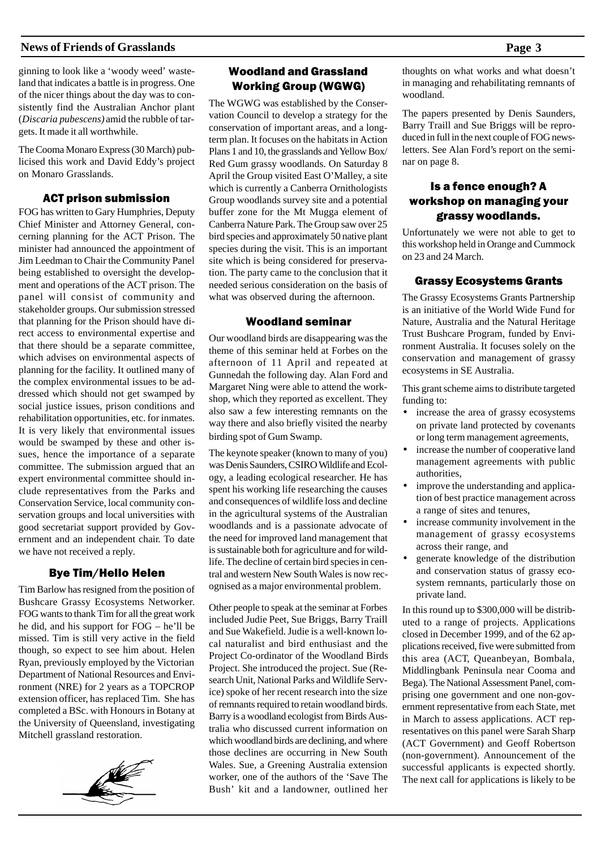ginning to look like a 'woody weed' wasteland that indicates a battle is in progress. One of the nicer things about the day was to consistently find the Australian Anchor plant (*Discaria pubescens)* amid the rubble of targets. It made it all worthwhile.

The Cooma Monaro Express (30 March) publicised this work and David Eddy's project on Monaro Grasslands.

#### ACT prison submission

FOG has written to Gary Humphries, Deputy Chief Minister and Attorney General, concerning planning for the ACT Prison. The minister had announced the appointment of Jim Leedman to Chair the Community Panel being established to oversight the development and operations of the ACT prison. The panel will consist of community and stakeholder groups. Our submission stressed that planning for the Prison should have direct access to environmental expertise and that there should be a separate committee, which advises on environmental aspects of planning for the facility. It outlined many of the complex environmental issues to be addressed which should not get swamped by social justice issues, prison conditions and rehabilitation opportunities, etc. for inmates. It is very likely that environmental issues would be swamped by these and other issues, hence the importance of a separate committee. The submission argued that an expert environmental committee should include representatives from the Parks and Conservation Service, local community conservation groups and local universities with good secretariat support provided by Government and an independent chair. To date we have not received a reply.

#### Bye Tim/Hello Helen

Tim Barlow has resigned from the position of Bushcare Grassy Ecosystems Networker. FOG wants to thank Tim for all the great work he did, and his support for FOG – he'll be missed. Tim is still very active in the field though, so expect to see him about. Helen Ryan, previously employed by the Victorian Department of National Resources and Environment (NRE) for 2 years as a TOPCROP extension officer, has replaced Tim. She has completed a BSc. with Honours in Botany at the University of Queensland, investigating Mitchell grassland restoration.



#### Woodland and Grassland Working Group (WGWG)

The WGWG was established by the Conservation Council to develop a strategy for the conservation of important areas, and a longterm plan. It focuses on the habitats in Action Plans 1 and 10, the grasslands and Yellow Box/ Red Gum grassy woodlands. On Saturday 8 April the Group visited East O'Malley, a site which is currently a Canberra Ornithologists Group woodlands survey site and a potential buffer zone for the Mt Mugga element of Canberra Nature Park. The Group saw over 25 bird species and approximately 50 native plant species during the visit. This is an important site which is being considered for preservation. The party came to the conclusion that it needed serious consideration on the basis of what was observed during the afternoon.

#### Woodland seminar

Our woodland birds are disappearing was the theme of this seminar held at Forbes on the afternoon of 11 April and repeated at Gunnedah the following day. Alan Ford and Margaret Ning were able to attend the workshop, which they reported as excellent. They also saw a few interesting remnants on the way there and also briefly visited the nearby birding spot of Gum Swamp.

The keynote speaker (known to many of you) was Denis Saunders, CSIRO Wildlife and Ecology, a leading ecological researcher. He has spent his working life researching the causes and consequences of wildlife loss and decline in the agricultural systems of the Australian woodlands and is a passionate advocate of the need for improved land management that is sustainable both for agriculture and for wildlife. The decline of certain bird species in central and western New South Wales is now recognised as a major environmental problem.

Other people to speak at the seminar at Forbes included Judie Peet, Sue Briggs, Barry Traill and Sue Wakefield. Judie is a well-known local naturalist and bird enthusiast and the Project Co-ordinator of the Woodland Birds Project. She introduced the project. Sue (Research Unit, National Parks and Wildlife Service) spoke of her recent research into the size of remnants required to retain woodland birds. Barry is a woodland ecologist from Birds Australia who discussed current information on which woodland birds are declining, and where those declines are occurring in New South Wales. Sue, a Greening Australia extension worker, one of the authors of the 'Save The Bush' kit and a landowner, outlined her

thoughts on what works and what doesn't in managing and rehabilitating remnants of woodland.

The papers presented by Denis Saunders, Barry Traill and Sue Briggs will be reproduced in full in the next couple of FOG newsletters. See Alan Ford's report on the seminar on page 8.

#### Is a fence enough? A workshop on managing your grassy woodlands.

Unfortunately we were not able to get to this workshop held in Orange and Cummock on 23 and 24 March.

#### Grassy Ecosystems Grants

The Grassy Ecosystems Grants Partnership is an initiative of the World Wide Fund for Nature, Australia and the Natural Heritage Trust Bushcare Program, funded by Environment Australia. It focuses solely on the conservation and management of grassy ecosystems in SE Australia.

This grant scheme aims to distribute targeted funding to:

- increase the area of grassy ecosystems on private land protected by covenants or long term management agreements,
- increase the number of cooperative land management agreements with public authorities,
- improve the understanding and application of best practice management across a range of sites and tenures,
- increase community involvement in the management of grassy ecosystems across their range, and
- generate knowledge of the distribution and conservation status of grassy ecosystem remnants, particularly those on private land.

In this round up to \$300,000 will be distributed to a range of projects. Applications closed in December 1999, and of the 62 applications received, five were submitted from this area (ACT, Queanbeyan, Bombala, Middlingbank Peninsula near Cooma and Bega). The National Assessment Panel, comprising one government and one non-government representative from each State, met in March to assess applications. ACT representatives on this panel were Sarah Sharp (ACT Government) and Geoff Robertson (non-government). Announcement of the successful applicants is expected shortly. The next call for applications is likely to be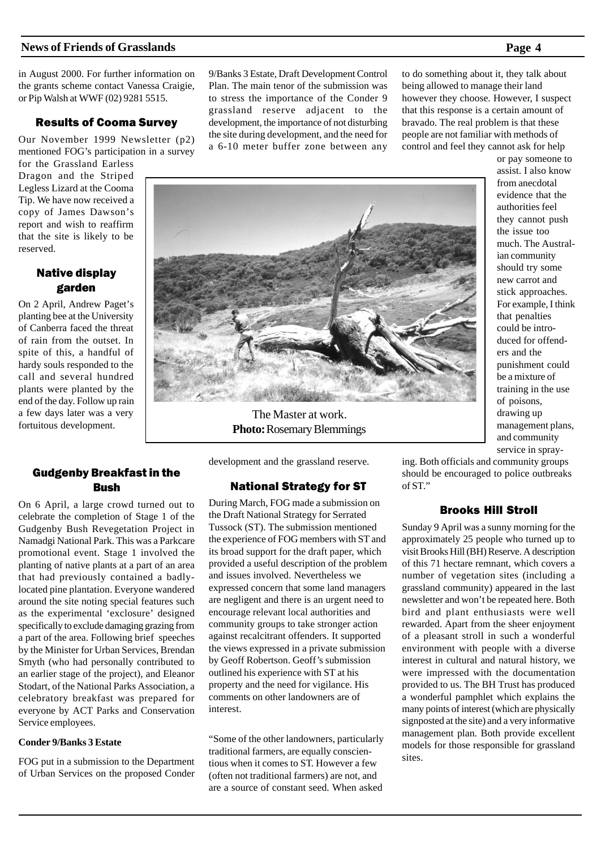in August 2000. For further information on the grants scheme contact Vanessa Craigie, or Pip Walsh at WWF (02) 9281 5515.

#### Results of Cooma Survey

Our November 1999 Newsletter (p2) mentioned FOG's participation in a survey

for the Grassland Earless Dragon and the Striped Legless Lizard at the Cooma Tip. We have now received a copy of James Dawson's report and wish to reaffirm that the site is likely to be reserved.

### Native display garden

On 2 April, Andrew Paget's planting bee at the University of Canberra faced the threat of rain from the outset. In spite of this, a handful of hardy souls responded to the call and several hundred plants were planted by the end of the day. Follow up rain a few days later was a very fortuitous development.

#### Gudgenby Breakfast in the Bush

On 6 April, a large crowd turned out to celebrate the completion of Stage 1 of the Gudgenby Bush Revegetation Project in Namadgi National Park. This was a Parkcare promotional event. Stage 1 involved the planting of native plants at a part of an area that had previously contained a badlylocated pine plantation. Everyone wandered around the site noting special features such as the experimental 'exclosure' designed specifically to exclude damaging grazing from a part of the area. Following brief speeches by the Minister for Urban Services, Brendan Smyth (who had personally contributed to an earlier stage of the project), and Eleanor Stodart, of the National Parks Association, a celebratory breakfast was prepared for everyone by ACT Parks and Conservation Service employees.

#### **Conder 9/Banks 3 Estate**

FOG put in a submission to the Department of Urban Services on the proposed Conder 9/Banks 3 Estate, Draft Development Control Plan. The main tenor of the submission was to stress the importance of the Conder 9 grassland reserve adjacent to the development, the importance of not disturbing the site during development, and the need for a 6-10 meter buffer zone between any

to do something about it, they talk about being allowed to manage their land however they choose. However, I suspect that this response is a certain amount of bravado. The real problem is that these people are not familiar with methods of control and feel they cannot ask for help



The Master at work. **Photo:** Rosemary Blemmings

development and the grassland reserve.

#### National Strategy for ST

During March, FOG made a submission on the Draft National Strategy for Serrated Tussock (ST). The submission mentioned the experience of FOG members with ST and its broad support for the draft paper, which provided a useful description of the problem and issues involved. Nevertheless we expressed concern that some land managers are negligent and there is an urgent need to encourage relevant local authorities and community groups to take stronger action against recalcitrant offenders. It supported the views expressed in a private submission by Geoff Robertson. Geoff's submission outlined his experience with ST at his property and the need for vigilance. His comments on other landowners are of interest.

"Some of the other landowners, particularly traditional farmers, are equally conscientious when it comes to ST. However a few (often not traditional farmers) are not, and are a source of constant seed. When asked

ing. Both officials and community groups should be encouraged to police outbreaks of ST."

#### Brooks Hill Stroll

Sunday 9 April was a sunny morning for the approximately 25 people who turned up to visit Brooks Hill (BH) Reserve. A description of this 71 hectare remnant, which covers a number of vegetation sites (including a grassland community) appeared in the last newsletter and won't be repeated here. Both bird and plant enthusiasts were well rewarded. Apart from the sheer enjoyment of a pleasant stroll in such a wonderful environment with people with a diverse interest in cultural and natural history, we were impressed with the documentation provided to us. The BH Trust has produced a wonderful pamphlet which explains the many points of interest (which are physically signposted at the site) and a very informative management plan. Both provide excellent models for those responsible for grassland sites.

or pay someone to assist. I also know from anecdotal evidence that the authorities feel they cannot push the issue too much. The Australian community should try some new carrot and stick approaches. For example, I think that penalties could be introduced for offenders and the punishment could be a mixture of training in the use of poisons, drawing up management plans, and community service in spray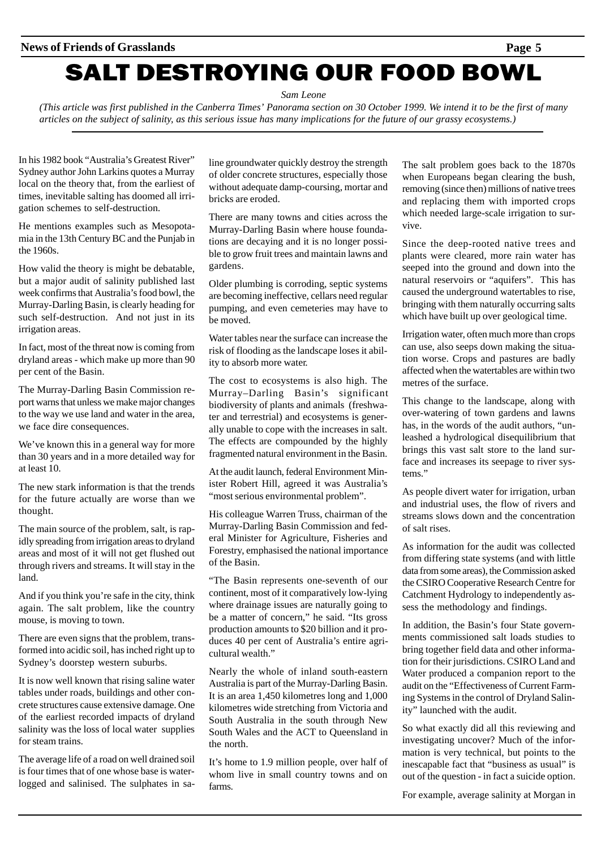*Sam Leone*

*(This article was first published in the Canberra Times' Panorama section on 30 October 1999. We intend it to be the first of many articles on the subject of salinity, as this serious issue has many implications for the future of our grassy ecosystems.)*

In his 1982 book "Australia's Greatest River" Sydney author John Larkins quotes a Murray local on the theory that, from the earliest of times, inevitable salting has doomed all irrigation schemes to self-destruction.

He mentions examples such as Mesopotamia in the 13th Century BC and the Punjab in the 1960s.

How valid the theory is might be debatable, but a major audit of salinity published last week confirms that Australia's food bowl, the Murray-Darling Basin, is clearly heading for such self-destruction. And not just in its irrigation areas.

In fact, most of the threat now is coming from dryland areas - which make up more than 90 per cent of the Basin.

The Murray-Darling Basin Commission report warns that unless we make major changes to the way we use land and water in the area, we face dire consequences.

We've known this in a general way for more than 30 years and in a more detailed way for at least 10.

The new stark information is that the trends for the future actually are worse than we thought.

The main source of the problem, salt, is rapidly spreading from irrigation areas to dryland areas and most of it will not get flushed out through rivers and streams. It will stay in the land.

And if you think you're safe in the city, think again. The salt problem, like the country mouse, is moving to town.

There are even signs that the problem, transformed into acidic soil, has inched right up to Sydney's doorstep western suburbs.

It is now well known that rising saline water tables under roads, buildings and other concrete structures cause extensive damage. One of the earliest recorded impacts of dryland salinity was the loss of local water supplies for steam trains.

The average life of a road on well drained soil is four times that of one whose base is waterlogged and salinised. The sulphates in saline groundwater quickly destroy the strength of older concrete structures, especially those without adequate damp-coursing, mortar and bricks are eroded.

There are many towns and cities across the Murray-Darling Basin where house foundations are decaying and it is no longer possible to grow fruit trees and maintain lawns and gardens.

Older plumbing is corroding, septic systems are becoming ineffective, cellars need regular pumping, and even cemeteries may have to be moved.

Water tables near the surface can increase the risk of flooding as the landscape loses it ability to absorb more water.

The cost to ecosystems is also high. The Murray–Darling Basin's significant biodiversity of plants and animals (freshwater and terrestrial) and ecosystems is generally unable to cope with the increases in salt. The effects are compounded by the highly fragmented natural environment in the Basin.

At the audit launch, federal Environment Minister Robert Hill, agreed it was Australia's "most serious environmental problem".

His colleague Warren Truss, chairman of the Murray-Darling Basin Commission and federal Minister for Agriculture, Fisheries and Forestry, emphasised the national importance of the Basin.

"The Basin represents one-seventh of our continent, most of it comparatively low-lying where drainage issues are naturally going to be a matter of concern," he said. "Its gross production amounts to \$20 billion and it produces 40 per cent of Australia's entire agricultural wealth."

Nearly the whole of inland south-eastern Australia is part of the Murray-Darling Basin. It is an area 1,450 kilometres long and 1,000 kilometres wide stretching from Victoria and South Australia in the south through New South Wales and the ACT to Queensland in the north.

It's home to 1.9 million people, over half of whom live in small country towns and on farms.

The salt problem goes back to the 1870s when Europeans began clearing the bush, removing (since then) millions of native trees and replacing them with imported crops which needed large-scale irrigation to survive.

Since the deep-rooted native trees and plants were cleared, more rain water has seeped into the ground and down into the natural reservoirs or "aquifers". This has caused the underground watertables to rise, bringing with them naturally occurring salts which have built up over geological time.

Irrigation water, often much more than crops can use, also seeps down making the situation worse. Crops and pastures are badly affected when the watertables are within two metres of the surface.

This change to the landscape, along with over-watering of town gardens and lawns has, in the words of the audit authors, "unleashed a hydrological disequilibrium that brings this vast salt store to the land surface and increases its seepage to river systems."

As people divert water for irrigation, urban and industrial uses, the flow of rivers and streams slows down and the concentration of salt rises.

As information for the audit was collected from differing state systems (and with little data from some areas), the Commission asked the CSIRO Cooperative Research Centre for Catchment Hydrology to independently assess the methodology and findings.

In addition, the Basin's four State governments commissioned salt loads studies to bring together field data and other information for their jurisdictions. CSIRO Land and Water produced a companion report to the audit on the "Effectiveness of Current Farming Systems in the control of Dryland Salinity" launched with the audit.

So what exactly did all this reviewing and investigating uncover? Much of the information is very technical, but points to the inescapable fact that "business as usual" is out of the question - in fact a suicide option.

For example, average salinity at Morgan in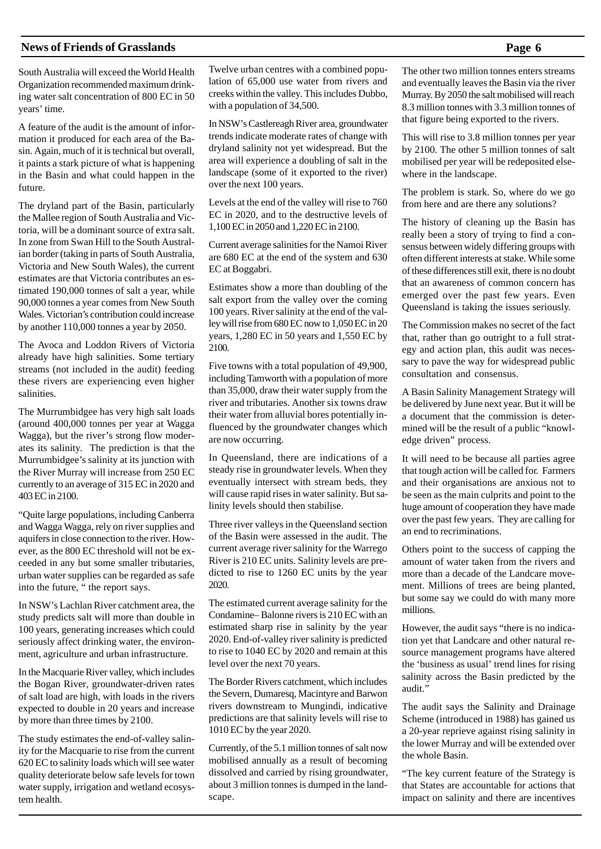South Australia will exceed the World Health Organization recommended maximum drinking water salt concentration of 800 EC in 50 years' time.

A feature of the audit is the amount of information it produced for each area of the Basin. Again, much of it is technical but overall, it paints a stark picture of what is happening in the Basin and what could happen in the future.

The dryland part of the Basin, particularly the Mallee region of South Australia and Victoria, will be a dominant source of extra salt. In zone from Swan Hill to the South Australian border (taking in parts of South Australia, Victoria and New South Wales), the current estimates are that Victoria contributes an estimated 190,000 tonnes of salt a year, while 90,000 tonnes a year comes from New South Wales. Victorian's contribution could increase by another 110,000 tonnes a year by 2050.

The Avoca and Loddon Rivers of Victoria already have high salinities. Some tertiary streams (not included in the audit) feeding these rivers are experiencing even higher salinities.

The Murrumbidgee has very high salt loads (around 400,000 tonnes per year at Wagga Wagga), but the river's strong flow moderates its salinity. The prediction is that the Murrumbidgee's salinity at its junction with the River Murray will increase from 250 EC currently to an average of 315 EC in 2020 and 403 EC in 2100.

"Quite large populations, including Canberra and Wagga Wagga, rely on river supplies and aquifers in close connection to the river. However, as the 800 EC threshold will not be exceeded in any but some smaller tributaries, urban water supplies can be regarded as safe into the future, " the report says.

In NSW's Lachlan River catchment area, the study predicts salt will more than double in 100 years, generating increases which could seriously affect drinking water, the environment, agriculture and urban infrastructure.

In the Macquarie River valley, which includes the Bogan River, groundwater-driven rates of salt load are high, with loads in the rivers expected to double in 20 years and increase by more than three times by 2100.

The study estimates the end-of-valley salinity for the Macquarie to rise from the current 620 EC to salinity loads which will see water quality deteriorate below safe levels for town water supply, irrigation and wetland ecosystem health.

Twelve urban centres with a combined population of 65,000 use water from rivers and creeks within the valley. This includes Dubbo, with a population of 34,500.

In NSW's Castlereagh River area, groundwater trends indicate moderate rates of change with dryland salinity not yet widespread. But the area will experience a doubling of salt in the landscape (some of it exported to the river) over the next 100 years.

Levels at the end of the valley will rise to 760 EC in 2020, and to the destructive levels of 1,100 EC in 2050 and 1,220 EC in 2100.

Current average salinities for the Namoi River are 680 EC at the end of the system and 630 EC at Boggabri.

Estimates show a more than doubling of the salt export from the valley over the coming 100 years. River salinity at the end of the valley will rise from 680 EC now to 1,050 EC in 20 years, 1,280 EC in 50 years and 1,550 EC by 2100.

Five towns with a total population of 49,900, including Tamworth with a population of more than 35,000, draw their water supply from the river and tributaries. Another six towns draw their water from alluvial bores potentially influenced by the groundwater changes which are now occurring.

In Queensland, there are indications of a steady rise in groundwater levels. When they eventually intersect with stream beds, they will cause rapid rises in water salinity. But salinity levels should then stabilise.

Three river valleys in the Queensland section of the Basin were assessed in the audit. The current average river salinity for the Warrego River is 210 EC units. Salinity levels are predicted to rise to 1260 EC units by the year 2020.

The estimated current average salinity for the Condamine– Balonne rivers is 210 EC with an estimated sharp rise in salinity by the year 2020. End-of-valley river salinity is predicted to rise to 1040 EC by 2020 and remain at this level over the next 70 years.

The Border Rivers catchment, which includes the Severn, Dumaresq, Macintyre and Barwon rivers downstream to Mungindi, indicative predictions are that salinity levels will rise to 1010 EC by the year 2020.

Currently, of the 5.1 million tonnes of salt now mobilised annually as a result of becoming dissolved and carried by rising groundwater, about 3 million tonnes is dumped in the landscape.

The other two million tonnes enters streams and eventually leaves the Basin via the river Murray. By 2050 the salt mobilised will reach 8.3 million tonnes with 3.3 million tonnes of that figure being exported to the rivers.

This will rise to 3.8 million tonnes per year by 2100. The other 5 million tonnes of salt mobilised per year will be redeposited elsewhere in the landscape.

The problem is stark. So, where do we go from here and are there any solutions?

The history of cleaning up the Basin has really been a story of trying to find a consensus between widely differing groups with often different interests at stake. While some of these differences still exit, there is no doubt that an awareness of common concern has emerged over the past few years. Even Queensland is taking the issues seriously.

The Commission makes no secret of the fact that, rather than go outright to a full strategy and action plan, this audit was necessary to pave the way for widespread public consultation and consensus.

A Basin Salinity Management Strategy will be delivered by June next year. But it will be a document that the commission is determined will be the result of a public "knowledge driven" process.

It will need to be because all parties agree that tough action will be called for. Farmers and their organisations are anxious not to be seen as the main culprits and point to the huge amount of cooperation they have made over the past few years. They are calling for an end to recriminations.

Others point to the success of capping the amount of water taken from the rivers and more than a decade of the Landcare movement. Millions of trees are being planted, but some say we could do with many more millions.

However, the audit says "there is no indication yet that Landcare and other natural resource management programs have altered the 'business as usual' trend lines for rising salinity across the Basin predicted by the audit."

The audit says the Salinity and Drainage Scheme (introduced in 1988) has gained us a 20-year reprieve against rising salinity in the lower Murray and will be extended over the whole Basin.

"The key current feature of the Strategy is that States are accountable for actions that impact on salinity and there are incentives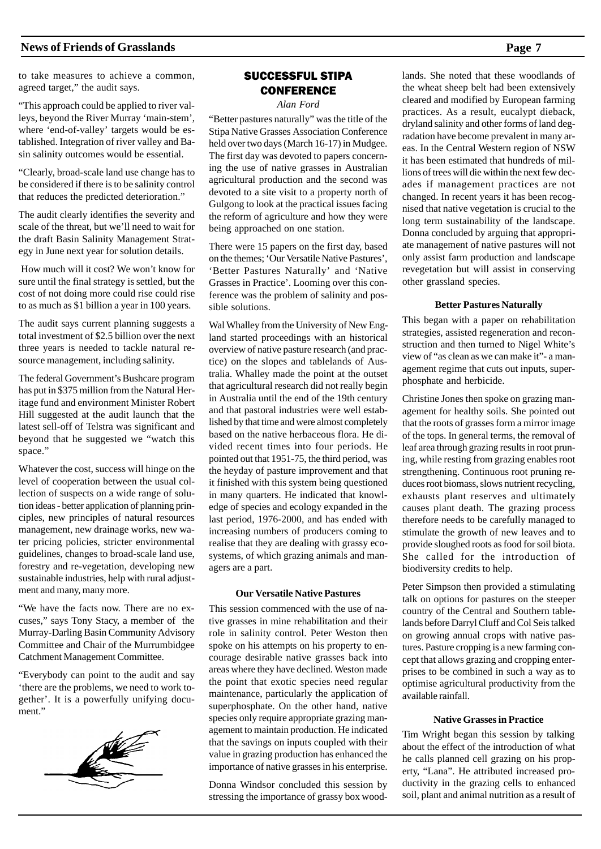to take measures to achieve a common, agreed target," the audit says.

"This approach could be applied to river valleys, beyond the River Murray 'main-stem', where 'end-of-valley' targets would be established. Integration of river valley and Basin salinity outcomes would be essential.

"Clearly, broad-scale land use change has to be considered if there is to be salinity control that reduces the predicted deterioration."

The audit clearly identifies the severity and scale of the threat, but we'll need to wait for the draft Basin Salinity Management Strategy in June next year for solution details.

 How much will it cost? We won't know for sure until the final strategy is settled, but the cost of not doing more could rise could rise to as much as \$1 billion a year in 100 years.

The audit says current planning suggests a total investment of \$2.5 billion over the next three years is needed to tackle natural resource management, including salinity.

The federal Government's Bushcare program has put in \$375 million from the Natural Heritage fund and environment Minister Robert Hill suggested at the audit launch that the latest sell-off of Telstra was significant and beyond that he suggested we "watch this space."

Whatever the cost, success will hinge on the level of cooperation between the usual collection of suspects on a wide range of solution ideas - better application of planning principles, new principles of natural resources management, new drainage works, new water pricing policies, stricter environmental guidelines, changes to broad-scale land use, forestry and re-vegetation, developing new sustainable industries, help with rural adjustment and many, many more.

"We have the facts now. There are no excuses," says Tony Stacy, a member of the Murray-Darling Basin Community Advisory Committee and Chair of the Murrumbidgee Catchment Management Committee.

"Everybody can point to the audit and say 'there are the problems, we need to work together'. It is a powerfully unifying document."



#### SUCCESSFUL STIPA **CONFERENCE**

*Alan Ford*

"Better pastures naturally" was the title of the Stipa Native Grasses Association Conference held over two days (March 16-17) in Mudgee. The first day was devoted to papers concerning the use of native grasses in Australian agricultural production and the second was devoted to a site visit to a property north of Gulgong to look at the practical issues facing the reform of agriculture and how they were being approached on one station.

There were 15 papers on the first day, based on the themes; 'Our Versatile Native Pastures', 'Better Pastures Naturally' and 'Native Grasses in Practice'. Looming over this conference was the problem of salinity and possible solutions.

Wal Whalley from the University of New England started proceedings with an historical overview of native pasture research (and practice) on the slopes and tablelands of Australia. Whalley made the point at the outset that agricultural research did not really begin in Australia until the end of the 19th century and that pastoral industries were well established by that time and were almost completely based on the native herbaceous flora. He divided recent times into four periods. He pointed out that 1951-75, the third period, was the heyday of pasture improvement and that it finished with this system being questioned in many quarters. He indicated that knowledge of species and ecology expanded in the last period, 1976-2000, and has ended with increasing numbers of producers coming to realise that they are dealing with grassy ecosystems, of which grazing animals and managers are a part.

#### **Our Versatile Native Pastures**

This session commenced with the use of native grasses in mine rehabilitation and their role in salinity control. Peter Weston then spoke on his attempts on his property to encourage desirable native grasses back into areas where they have declined. Weston made the point that exotic species need regular maintenance, particularly the application of superphosphate. On the other hand, native species only require appropriate grazing management to maintain production. He indicated that the savings on inputs coupled with their value in grazing production has enhanced the importance of native grasses in his enterprise.

Donna Windsor concluded this session by stressing the importance of grassy box woodlands. She noted that these woodlands of the wheat sheep belt had been extensively cleared and modified by European farming practices. As a result, eucalypt dieback, dryland salinity and other forms of land degradation have become prevalent in many areas. In the Central Western region of NSW it has been estimated that hundreds of millions of trees will die within the next few decades if management practices are not changed. In recent years it has been recognised that native vegetation is crucial to the long term sustainability of the landscape. Donna concluded by arguing that appropriate management of native pastures will not only assist farm production and landscape revegetation but will assist in conserving other grassland species.

#### **Better Pastures Naturally**

This began with a paper on rehabilitation strategies, assisted regeneration and reconstruction and then turned to Nigel White's view of "as clean as we can make it"- a management regime that cuts out inputs, superphosphate and herbicide.

Christine Jones then spoke on grazing management for healthy soils. She pointed out that the roots of grasses form a mirror image of the tops. In general terms, the removal of leaf area through grazing results in root pruning, while resting from grazing enables root strengthening. Continuous root pruning reduces root biomass, slows nutrient recycling, exhausts plant reserves and ultimately causes plant death. The grazing process therefore needs to be carefully managed to stimulate the growth of new leaves and to provide sloughed roots as food for soil biota. She called for the introduction of biodiversity credits to help.

Peter Simpson then provided a stimulating talk on options for pastures on the steeper country of the Central and Southern tablelands before Darryl Cluff and Col Seis talked on growing annual crops with native pastures. Pasture cropping is a new farming concept that allows grazing and cropping enterprises to be combined in such a way as to optimise agricultural productivity from the available rainfall.

#### **Native Grasses in Practice**

Tim Wright began this session by talking about the effect of the introduction of what he calls planned cell grazing on his property, "Lana". He attributed increased productivity in the grazing cells to enhanced soil, plant and animal nutrition as a result of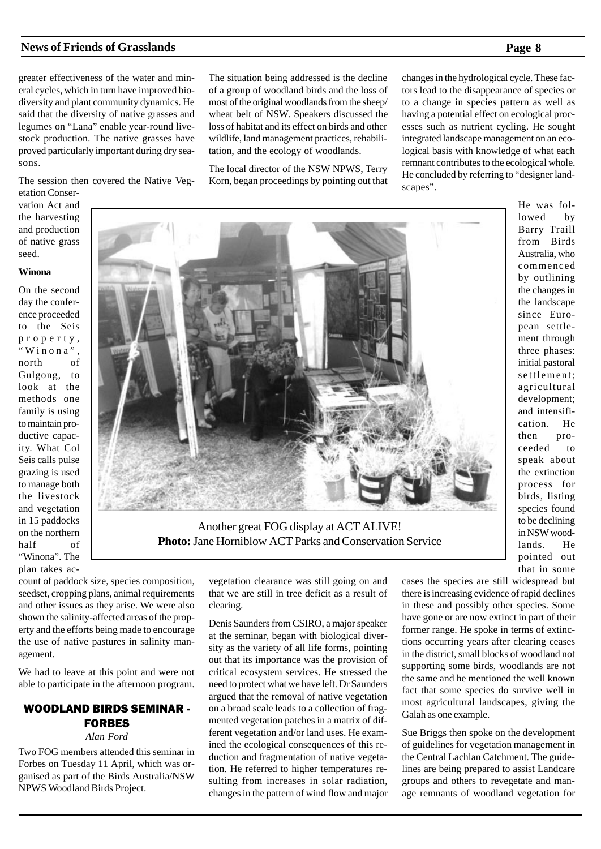greater effectiveness of the water and mineral cycles, which in turn have improved biodiversity and plant community dynamics. He said that the diversity of native grasses and legumes on "Lana" enable year-round livestock production. The native grasses have proved particularly important during dry seasons.

The session then covered the Native Vegetation Conser-

vation Act and the harvesting and production of native grass seed.

#### **Winona**

On the second day the conference proceeded to the Seis property, "Winona", north of Gulgong, to look at the methods one family is using to maintain productive capacity. What Col Seis calls pulse grazing is used to manage both the livestock and vegetation in 15 paddocks on the northern half of "Winona". The plan takes acThe situation being addressed is the decline of a group of woodland birds and the loss of most of the original woodlands from the sheep/ wheat belt of NSW. Speakers discussed the loss of habitat and its effect on birds and other wildlife, land management practices, rehabilitation, and the ecology of woodlands.

The local director of the NSW NPWS, Terry Korn, began proceedings by pointing out that changes in the hydrological cycle. These factors lead to the disappearance of species or to a change in species pattern as well as having a potential effect on ecological processes such as nutrient cycling. He sought integrated landscape management on an ecological basis with knowledge of what each remnant contributes to the ecological whole. He concluded by referring to "designer landscapes".

> He was followed by Barry Traill from Birds Australia, who commenced by outlining the changes in the landscape since European settlement through three phases: initial pastoral settlement; agricultural development; and intensification. He then proceeded to speak about the extinction process for birds, listing species found to be declining in NSW woodlands. He pointed out that in some

count of paddock size, species composition, seedset, cropping plans, animal requirements and other issues as they arise. We were also shown the salinity-affected areas of the property and the efforts being made to encourage the use of native pastures in salinity management.

We had to leave at this point and were not able to participate in the afternoon program.

### WOODLAND BIRDS SEMINAR - FORBES

*Alan Ford*

Two FOG members attended this seminar in Forbes on Tuesday 11 April, which was organised as part of the Birds Australia/NSW NPWS Woodland Birds Project.

vegetation clearance was still going on and that we are still in tree deficit as a result of clearing.

Denis Saunders from CSIRO, a major speaker at the seminar, began with biological diversity as the variety of all life forms, pointing out that its importance was the provision of critical ecosystem services. He stressed the need to protect what we have left. Dr Saunders argued that the removal of native vegetation on a broad scale leads to a collection of fragmented vegetation patches in a matrix of different vegetation and/or land uses. He examined the ecological consequences of this reduction and fragmentation of native vegetation. He referred to higher temperatures resulting from increases in solar radiation, changes in the pattern of wind flow and major

cases the species are still widespread but there is increasing evidence of rapid declines in these and possibly other species. Some have gone or are now extinct in part of their former range. He spoke in terms of extinctions occurring years after clearing ceases in the district, small blocks of woodland not supporting some birds, woodlands are not the same and he mentioned the well known fact that some species do survive well in most agricultural landscapes, giving the Galah as one example.

Sue Briggs then spoke on the development of guidelines for vegetation management in the Central Lachlan Catchment. The guidelines are being prepared to assist Landcare groups and others to revegetate and manage remnants of woodland vegetation for



Another great FOG display at ACT ALIVE! **Photo:** Jane Horniblow ACT Parks and Conservation Service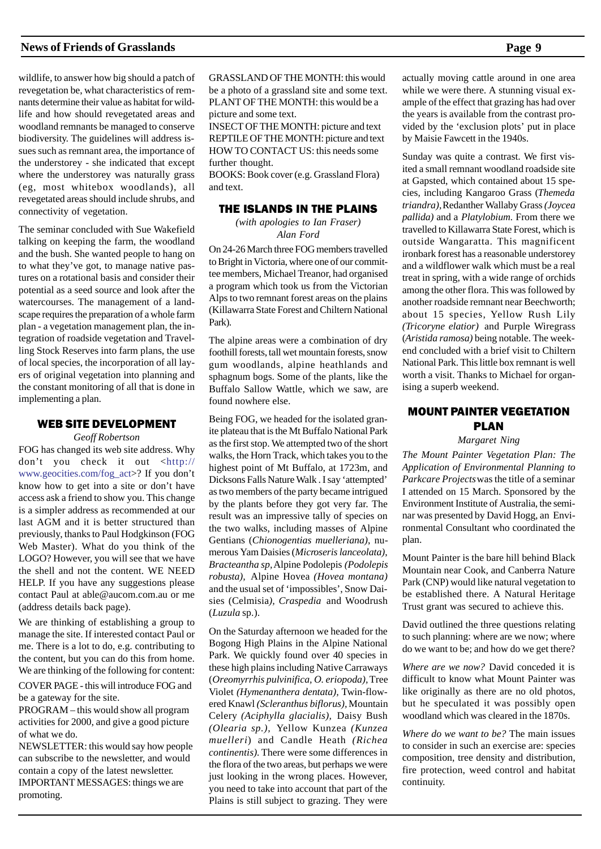wildlife, to answer how big should a patch of revegetation be, what characteristics of remnants determine their value as habitat for wildlife and how should revegetated areas and woodland remnants be managed to conserve biodiversity. The guidelines will address issues such as remnant area, the importance of the understorey - she indicated that except where the understorey was naturally grass (eg, most whitebox woodlands), all revegetated areas should include shrubs, and connectivity of vegetation.

The seminar concluded with Sue Wakefield talking on keeping the farm, the woodland and the bush. She wanted people to hang on to what they've got, to manage native pastures on a rotational basis and consider their potential as a seed source and look after the watercourses. The management of a landscape requires the preparation of a whole farm plan - a vegetation management plan, the integration of roadside vegetation and Travelling Stock Reserves into farm plans, the use of local species, the incorporation of all layers of original vegetation into planning and the constant monitoring of all that is done in implementing a plan.

#### WEB SITE DEVELOPMENT

#### *Geoff Robertson*

FOG has changed its web site address. Why don't you check it out <http:// www.geocities.com/fog\_act>? If you don't know how to get into a site or don't have access ask a friend to show you. This change is a simpler address as recommended at our last AGM and it is better structured than previously, thanks to Paul Hodgkinson (FOG Web Master). What do you think of the LOGO? However, you will see that we have the shell and not the content. WE NEED HELP. If you have any suggestions please contact Paul at able@aucom.com.au or me (address details back page).

We are thinking of establishing a group to manage the site. If interested contact Paul or me. There is a lot to do, e.g. contributing to the content, but you can do this from home. We are thinking of the following for content:

COVER PAGE - this will introduce FOG and be a gateway for the site.

PROGRAM – this would show all program activities for 2000, and give a good picture of what we do.

NEWSLETTER: this would say how people can subscribe to the newsletter, and would contain a copy of the latest newsletter. IMPORTANT MESSAGES: things we are promoting.

GRASSLAND OF THE MONTH: this would be a photo of a grassland site and some text. PLANT OF THE MONTH: this would be a picture and some text.

INSECT OF THE MONTH: picture and text REPTILE OF THE MONTH: picture and text HOW TO CONTACT US: this needs some further thought.

BOOKS: Book cover (e.g. Grassland Flora) and text.

#### THE ISLANDS IN THE PLAINS

*(with apologies to Ian Fraser) Alan Ford*

On 24-26 March three FOG members travelled to Bright in Victoria, where one of our committee members, Michael Treanor, had organised a program which took us from the Victorian Alps to two remnant forest areas on the plains (Killawarra State Forest and Chiltern National Park).

The alpine areas were a combination of dry foothill forests, tall wet mountain forests, snow gum woodlands, alpine heathlands and sphagnum bogs. Some of the plants, like the Buffalo Sallow Wattle, which we saw, are found nowhere else.

Being FOG, we headed for the isolated granite plateau that is the Mt Buffalo National Park as the first stop. We attempted two of the short walks, the Horn Track, which takes you to the highest point of Mt Buffalo, at 1723m, and Dicksons Falls Nature Walk . I say 'attempted' as two members of the party became intrigued by the plants before they got very far. The result was an impressive tally of species on the two walks, including masses of Alpine Gentians (*Chionogentias muelleriana)*, numerous Yam Daisies (*Microseris lanceolata)*, *Bracteantha sp,* Alpine Podolepis *(Podolepis robusta),* Alpine Hovea *(Hovea montana)* and the usual set of 'impossibles', Snow Daisies (Celmisia*), Craspedia* and Woodrush (*Luzula* sp.).

On the Saturday afternoon we headed for the Bogong High Plains in the Alpine National Park. We quickly found over 40 species in these high plains including Native Carraways (*Oreomyrrhis pulvinifica, O. eriopoda),* Tree Violet *(Hymenanthera dentata),* Twin-flowered Knawl *(Scleranthus biflorus),* Mountain Celery *(Aciphylla glacialis),* Daisy Bush *(Olearia sp.),* Yellow Kunzea *(Kunzea muelleri*) and Candle Heath *(Richea continentis).* There were some differences in the flora of the two areas, but perhaps we were just looking in the wrong places. However, you need to take into account that part of the Plains is still subject to grazing. They were

actually moving cattle around in one area while we were there. A stunning visual example of the effect that grazing has had over the years is available from the contrast provided by the 'exclusion plots' put in place by Maisie Fawcett in the 1940s.

Sunday was quite a contrast. We first visited a small remnant woodland roadside site at Gapsted, which contained about 15 species, including Kangaroo Grass (*Themeda triandra),* Redanther Wallaby Grass *(Joycea pallida)* and a *Platylobium.* From there we travelled to Killawarra State Forest, which is outside Wangaratta. This magnificent ironbark forest has a reasonable understorey and a wildflower walk which must be a real treat in spring, with a wide range of orchids among the other flora. This was followed by another roadside remnant near Beechworth; about 15 species, Yellow Rush Lily *(Tricoryne elatior)* and Purple Wiregrass (*Aristida ramosa)* being notable. The weekend concluded with a brief visit to Chiltern National Park. This little box remnant is well worth a visit. Thanks to Michael for organising a superb weekend.

#### MOUNT PAINTER VEGETATION PLAN

#### *Margaret Ning*

*The Mount Painter Vegetation Plan: The Application of Environmental Planning to Parkcare Projects* was the title of a seminar I attended on 15 March. Sponsored by the Environment Institute of Australia, the seminar was presented by David Hogg, an Environmental Consultant who coordinated the plan.

Mount Painter is the bare hill behind Black Mountain near Cook, and Canberra Nature Park (CNP) would like natural vegetation to be established there. A Natural Heritage Trust grant was secured to achieve this.

David outlined the three questions relating to such planning: where are we now; where do we want to be; and how do we get there?

*Where are we now?* David conceded it is difficult to know what Mount Painter was like originally as there are no old photos, but he speculated it was possibly open woodland which was cleared in the 1870s.

*Where do we want to be?* The main issues to consider in such an exercise are: species composition, tree density and distribution, fire protection, weed control and habitat continuity.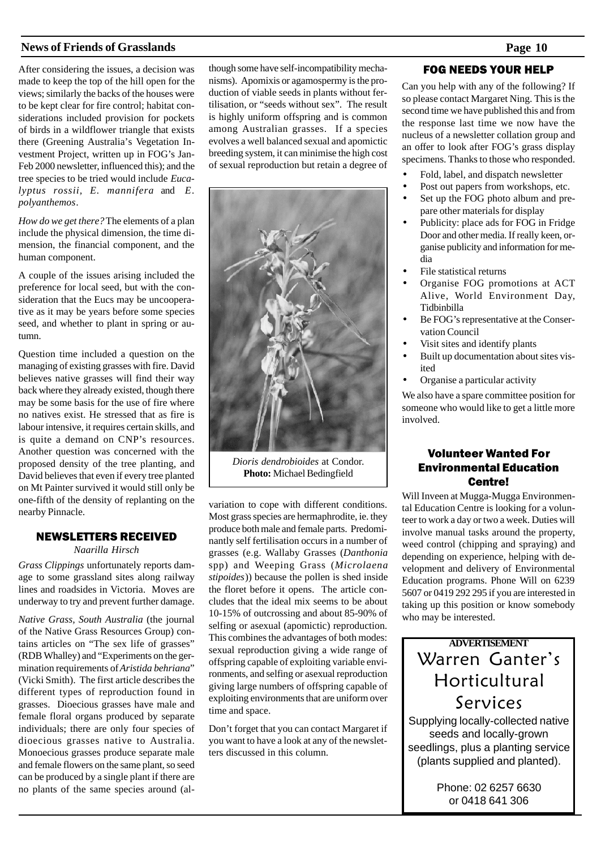After considering the issues, a decision was made to keep the top of the hill open for the views; similarly the backs of the houses were to be kept clear for fire control; habitat considerations included provision for pockets of birds in a wildflower triangle that exists there (Greening Australia's Vegetation Investment Project, written up in FOG's Jan-Feb 2000 newsletter, influenced this); and the tree species to be tried would include *Eucalyptus rossii, E. mannifera* and *E. polyanthemos*.

*How do we get there?* The elements of a plan include the physical dimension, the time dimension, the financial component, and the human component.

A couple of the issues arising included the preference for local seed, but with the consideration that the Eucs may be uncooperative as it may be years before some species seed, and whether to plant in spring or autumn.

Question time included a question on the managing of existing grasses with fire. David believes native grasses will find their way back where they already existed, though there may be some basis for the use of fire where no natives exist. He stressed that as fire is labour intensive, it requires certain skills, and is quite a demand on CNP's resources. Another question was concerned with the proposed density of the tree planting, and David believes that even if every tree planted on Mt Painter survived it would still only be one-fifth of the density of replanting on the nearby Pinnacle.

#### NEWSLETTERS RECEIVED

#### *Naarilla Hirsch*

*Grass Clippings* unfortunately reports damage to some grassland sites along railway lines and roadsides in Victoria. Moves are underway to try and prevent further damage.

*Native Grass, South Australia* (the journal of the Native Grass Resources Group) contains articles on "The sex life of grasses" (RDB Whalley) and "Experiments on the germination requirements of *Aristida behriana*" (Vicki Smith). The first article describes the different types of reproduction found in grasses. Dioecious grasses have male and female floral organs produced by separate individuals; there are only four species of dioecious grasses native to Australia. Monoecious grasses produce separate male and female flowers on the same plant, so seed can be produced by a single plant if there are no plants of the same species around (although some have self-incompatibility mechanisms). Apomixis or agamospermy is the production of viable seeds in plants without fertilisation, or "seeds without sex". The result is highly uniform offspring and is common among Australian grasses. If a species evolves a well balanced sexual and apomictic breeding system, it can minimise the high cost of sexual reproduction but retain a degree of



*Dioris dendrobioides* at Condor. **Photo:** Michael Bedingfield

variation to cope with different conditions. Most grass species are hermaphrodite, ie. they produce both male and female parts. Predominantly self fertilisation occurs in a number of grasses (e.g. Wallaby Grasses (*Danthonia* spp) and Weeping Grass (*Microlaena stipoides*)) because the pollen is shed inside the floret before it opens. The article concludes that the ideal mix seems to be about 10-15% of outcrossing and about 85-90% of selfing or asexual (apomictic) reproduction. This combines the advantages of both modes: sexual reproduction giving a wide range of offspring capable of exploiting variable environments, and selfing or asexual reproduction giving large numbers of offspring capable of exploiting environments that are uniform over time and space.

Don't forget that you can contact Margaret if you want to have a look at any of the newsletters discussed in this column.

#### FOG NEEDS YOUR HELP

Can you help with any of the following? If so please contact Margaret Ning. This is the second time we have published this and from the response last time we now have the nucleus of a newsletter collation group and an offer to look after FOG's grass display specimens. Thanks to those who responded.

- Fold, label, and dispatch newsletter
- Post out papers from workshops, etc. • Set up the FOG photo album and prepare other materials for display
- Publicity: place ads for FOG in Fridge Door and other media. If really keen, organise publicity and information for media
- File statistical returns
- Organise FOG promotions at ACT Alive, World Environment Day, Tidbinbilla
- Be FOG's representative at the Conservation Council
- Visit sites and identify plants
- Built up documentation about sites visited
- Organise a particular activity

We also have a spare committee position for someone who would like to get a little more involved.

#### Volunteer Wanted For Environmental Education Centre!

Will Inveen at Mugga-Mugga Environmental Education Centre is looking for a volunteer to work a day or two a week. Duties will involve manual tasks around the property, weed control (chipping and spraying) and depending on experience, helping with development and delivery of Environmental Education programs. Phone Will on 6239 5607 or 0419 292 295 if you are interested in taking up this position or know somebody who may be interested.

# **ADVERTISEMENT** Warren Ganter's Horticultural Services

Supplying locally-collected native seeds and locally-grown seedlings, plus a planting service (plants supplied and planted).

> Phone: 02 6257 6630 or 0418 641 306